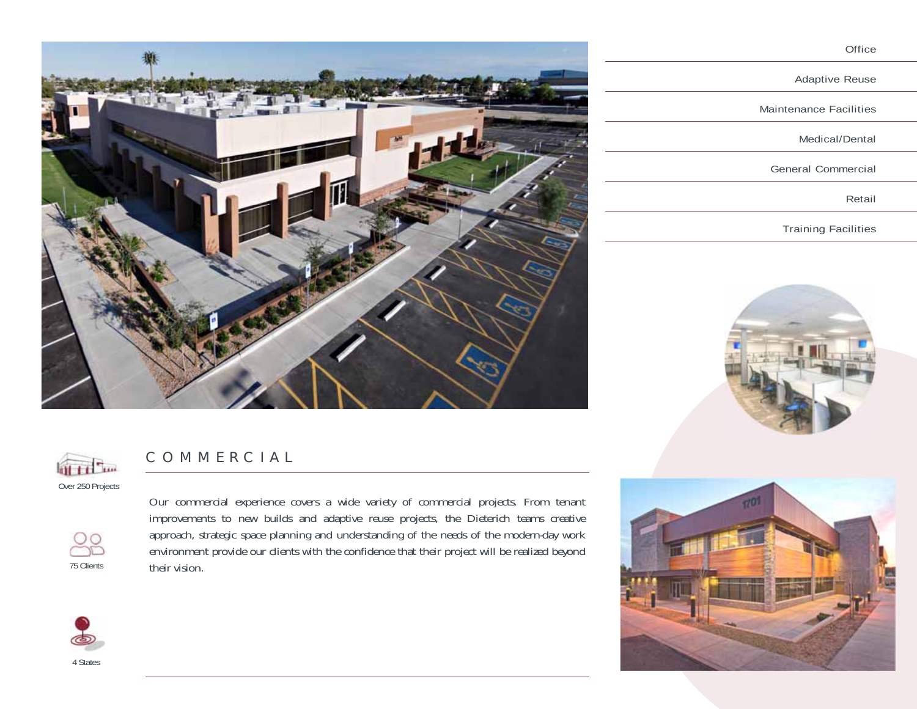

| Adaptive Reuse             |
|----------------------------|
| Maintenance Facilities     |
| Medical/Dental             |
| General Commercial         |
| Retail                     |
| <b>Training Facilities</b> |
|                            |



Office



## COMMERCIAL

Our commercial experience covers a wide variety of commercial projects. From tenant improvements to new builds and adaptive reuse projects, the Dieterich teams creative approach, strategic space planning and understanding of the needs of the modern-day work environment provide our clients with the confidence that their project will be realized beyond their vision.



4 States

75 Clients

 $\bigcirc$ 



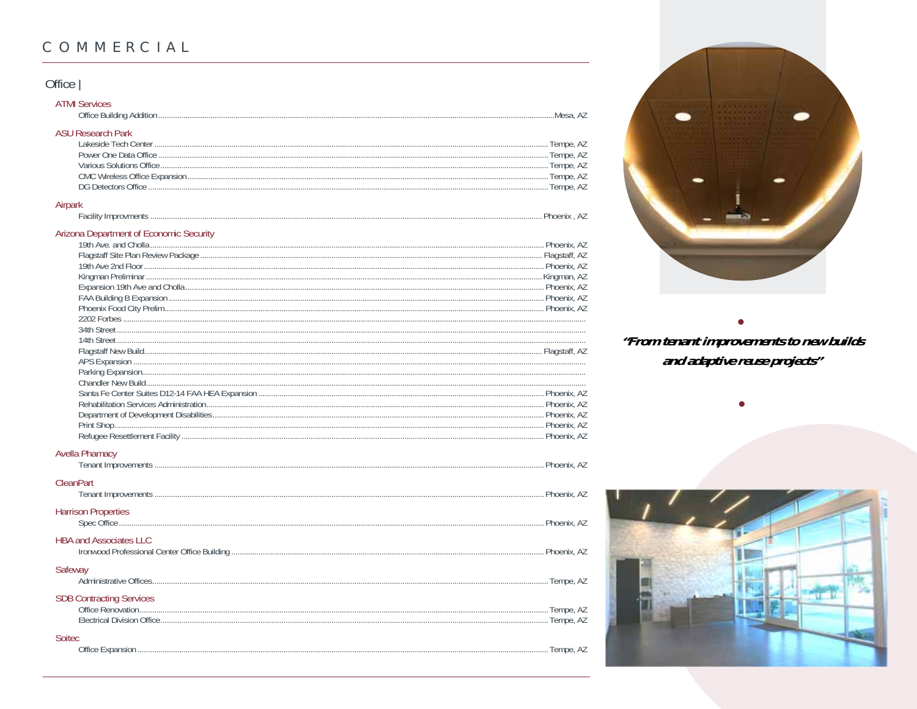# COMMERCIAL

## Office |

| <b>ATMI Services</b>     |
|--------------------------|
| <b>ASU Research Park</b> |
|                          |
| Tempe, AZ                |
|                          |
|                          |
|                          |
|                          |

### Facility Improvments.

## Arizona Department of Economic Security

### **Avella Phamacy**

|         | <b>CleanPart</b>                |  |
|---------|---------------------------------|--|
|         | <b>Harrison Properties</b>      |  |
|         | <b>HBA and Associates LLC</b>   |  |
| Safeway |                                 |  |
|         | <b>SDB Contracting Services</b> |  |
| Soitec  |                                 |  |



.. Phoenix, AZ

# "From tenant improvements to new builds and adaptive reuse projects"

 $\bullet$ 

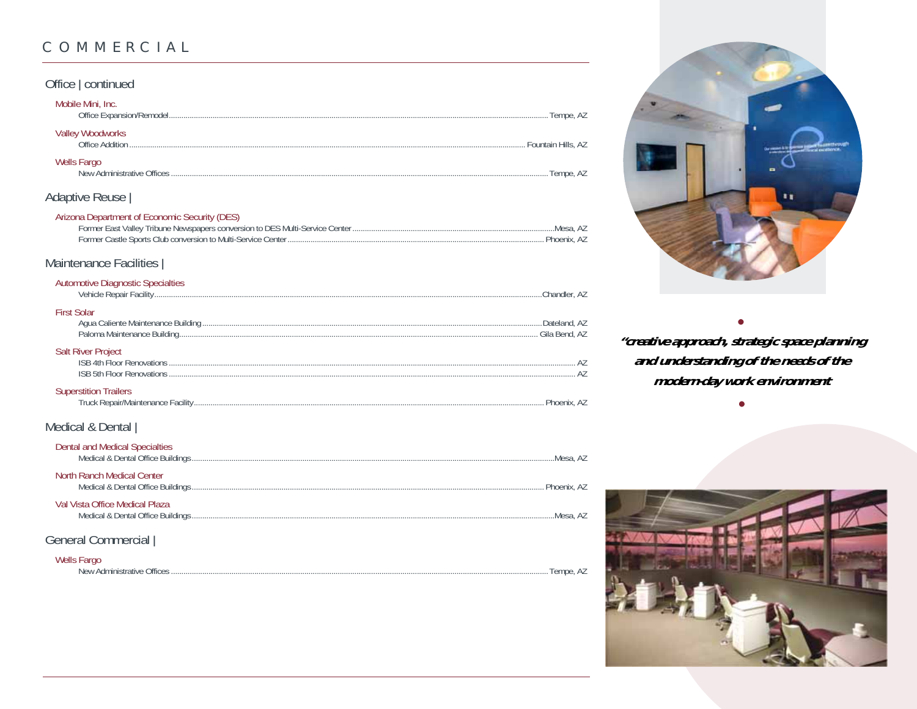## COMMERCIAL

### Office | continued Mobile Mini, Inc. Office Expansion/Remodel... **Valley Woodworks** Office Addition ....... Wells Fargo Adaptive Reuse | Arizona Department of Economic Security (DES) .....Mesa, AZ Phoenix A7 Maintenance Facilities | **Automotive Diagnostic Specialties** ....Chandler, AZ **First Solar** .....Dateland, AZ **Salt River Project** ISB 5th Floor Renovations 47 **Superstition Trailers** Medical & Dental | **Dental and Medical Specialties** North Ranch Medical Center . Phoenix, AZ Val Vista Office Medical Plaza .....Mesa, AZ General Commercial |

#### **Wells Fargo**

New Administrative Offices



"creative approach, strategic space planning and understanding of the needs of the modern-day work environment



......Tempe, AZ